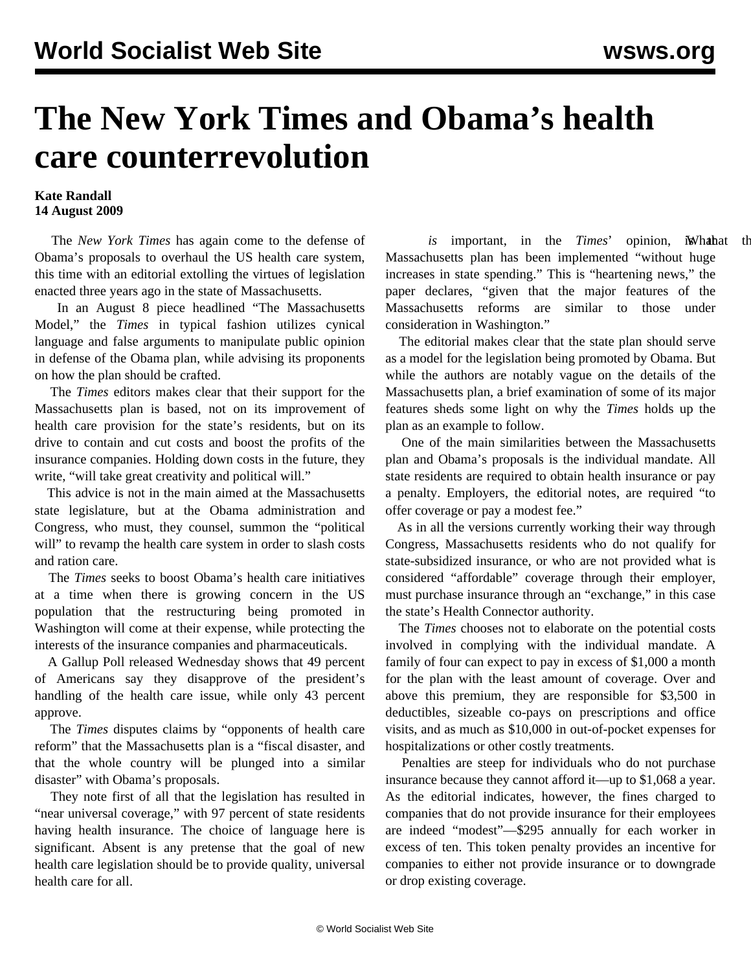## **The New York Times and Obama's health care counterrevolution**

## **Kate Randall 14 August 2009**

 The *New York Times* has again come to the defense of Obama's proposals to overhaul the US health care system, this time with an editorial extolling the virtues of legislation enacted three years ago in the state of Massachusetts.

 In an August 8 piece headlined "The Massachusetts Model," the *Times* in typical fashion utilizes cynical language and false arguments to manipulate public opinion in defense of the Obama plan, while advising its proponents on how the plan should be crafted.

 The *Times* editors makes clear that their support for the Massachusetts plan is based, not on its improvement of health care provision for the state's residents, but on its drive to contain and cut costs and boost the profits of the insurance companies. Holding down costs in the future, they write, "will take great creativity and political will."

 This advice is not in the main aimed at the Massachusetts state legislature, but at the Obama administration and Congress, who must, they counsel, summon the "political will" to revamp the health care system in order to slash costs and ration care.

 The *Times* seeks to boost Obama's health care initiatives at a time when there is growing concern in the US population that the restructuring being promoted in Washington will come at their expense, while protecting the interests of the insurance companies and pharmaceuticals.

 A Gallup Poll released Wednesday shows that 49 percent of Americans say they disapprove of the president's handling of the health care issue, while only 43 percent approve.

 The *Times* disputes claims by "opponents of health care reform" that the Massachusetts plan is a "fiscal disaster, and that the whole country will be plunged into a similar disaster" with Obama's proposals.

 They note first of all that the legislation has resulted in "near universal coverage," with 97 percent of state residents having health insurance. The choice of language here is significant. Absent is any pretense that the goal of new health care legislation should be to provide quality, universal health care for all.

*is* important, in the *Times*' opinion, *i*What the Massachusetts plan has been implemented "without huge increases in state spending." This is "heartening news," the paper declares, "given that the major features of the Massachusetts reforms are similar to those under consideration in Washington."

 The editorial makes clear that the state plan should serve as a model for the legislation being promoted by Obama. But while the authors are notably vague on the details of the Massachusetts plan, a brief examination of some of its major features sheds some light on why the *Times* holds up the plan as an example to follow.

 One of the main similarities between the Massachusetts plan and Obama's proposals is the individual mandate. All state residents are required to obtain health insurance or pay a penalty. Employers, the editorial notes, are required "to offer coverage or pay a modest fee."

 As in all the versions currently working their way through Congress, Massachusetts residents who do not qualify for state-subsidized insurance, or who are not provided what is considered "affordable" coverage through their employer, must purchase insurance through an "exchange," in this case the state's Health Connector authority.

 The *Times* chooses not to elaborate on the potential costs involved in complying with the individual mandate. A family of four can expect to pay in excess of \$1,000 a month for the plan with the least amount of coverage. Over and above this premium, they are responsible for \$3,500 in deductibles, sizeable co-pays on prescriptions and office visits, and as much as \$10,000 in out-of-pocket expenses for hospitalizations or other costly treatments.

 Penalties are steep for individuals who do not purchase insurance because they cannot afford it—up to \$1,068 a year. As the editorial indicates, however, the fines charged to companies that do not provide insurance for their employees are indeed "modest"—\$295 annually for each worker in excess of ten. This token penalty provides an incentive for companies to either not provide insurance or to downgrade or drop existing coverage.